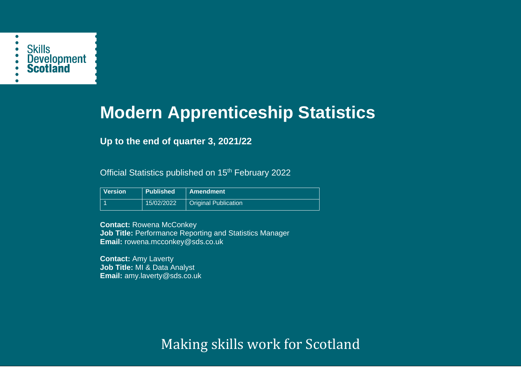

# **Modern Apprenticeship Statistics**

# **Up to the end of quarter 3, 2021/22**

Official Statistics published on 15<sup>th</sup> February 2022

| Version | <b>Published</b> | <b>Amendment</b>            |
|---------|------------------|-----------------------------|
|         | 15/02/2022       | <b>Original Publication</b> |

**Contact:** Rowena McConkey **Job Title:** Performance Reporting and Statistics Manager **Email:** rowena.mcconkey@sds.co.uk

**Contact:** Amy Laverty **Job Title:** MI & Data Analyst **Email:** amy.laverty@sds.co.uk

Making skills work for Scotland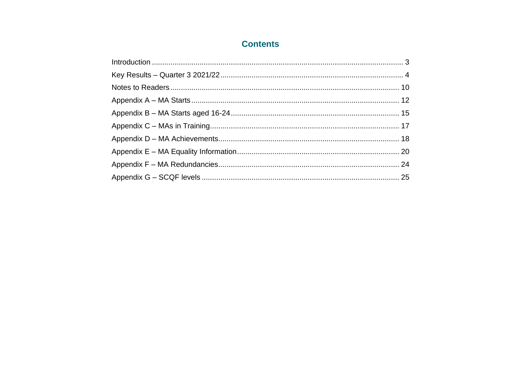# **Contents**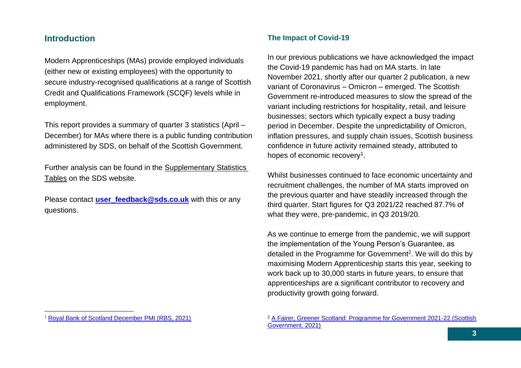## <span id="page-2-0"></span>**Introduction**

Modern Apprenticeships (MAs) provide employed individuals (either new or existing employees) with the opportunity to secure industry-recognised qualifications at a range of Scottish Credit and Qualifications Framework (SCQF) levels while in employment.

This report provides a summary of quarter 3 statistics (April – December) for MAs where there is a public funding contribution administered by SDS, on behalf of the Scottish Government.

Further analysis can be found in the [Supplementary Statistics](https://www.skillsdevelopmentscotland.co.uk/publications-statistics/statistics/modern-apprenticeships/)  [Tables](https://www.skillsdevelopmentscotland.co.uk/publications-statistics/statistics/modern-apprenticeships/) on the SDS website.

Please contact **[user\\_feedback@sds.co.uk](mailto:user_feedback@sds.co.uk)** with this or any questions.

#### <sup>1</sup> [Royal Bank of Scotland December PMI \(RBS, 2021\)](https://www.markiteconomics.com/Public/Home/PressRelease/a2b4f8dff39742519317735839e03d9a)

#### **The Impact of Covid-19**

In our previous publications we have acknowledged the impact the Covid-19 pandemic has had on MA starts. In late November 2021, shortly after our quarter 2 publication, a new variant of Coronavirus – Omicron – emerged. The Scottish Government re-introduced measures to slow the spread of the variant including restrictions for hospitality, retail, and leisure businesses; sectors which typically expect a busy trading period in December. Despite the unpredictability of Omicron, inflation pressures, and supply chain issues, Scottish business confidence in future activity remained steady, attributed to hopes of economic recovery<sup>1</sup>.

Whilst businesses continued to face economic uncertainty and recruitment challenges, the number of MA starts improved on the previous quarter and have steadily increased through the third quarter. Start figures for Q3 2021/22 reached 87.7% of what they were, pre-pandemic, in Q3 2019/20.

As we continue to emerge from the pandemic, we will support the implementation of the Young Person's Guarantee, as detailed in the Programme for Government<sup>2</sup>. We will do this by maximising Modern Apprenticeship starts this year, seeking to work back up to 30,000 starts in future years, to ensure that apprenticeships are a significant contributor to recovery and productivity growth going forward.

<sup>2</sup> [A Fairer, Greener Scotland: Programme for Government 2021-22 \(Scottish](https://www.gov.scot/publications/fairer-greener-scotland-programme-government-2021-22/)  [Government, 2021\)](https://www.gov.scot/publications/fairer-greener-scotland-programme-government-2021-22/)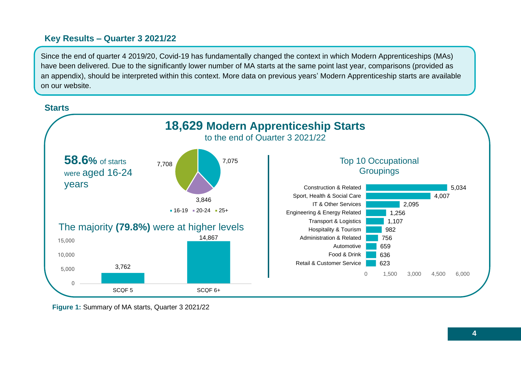# <span id="page-3-0"></span>**Key Results – Quarter 3 2021/22**

Since the end of quarter 4 2019/20, Covid-19 has fundamentally changed the context in which Modern Apprenticeships (MAs) have been delivered. Due to the significantly lower number of MA starts at the same point last year, comparisons (provided as an appendix), should be interpreted within this context. More data on previous years' Modern Apprenticeship starts are available on our website.



**Figure 1:** Summary of MA starts, Quarter 3 2021/22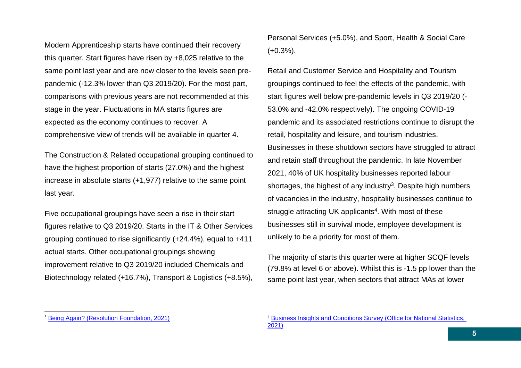Modern Apprenticeship starts have continued their recovery this quarter. Start figures have risen by +8,025 relative to the same point last year and are now closer to the levels seen prepandemic (-12.3% lower than Q3 2019/20). For the most part, comparisons with previous years are not recommended at this stage in the year. Fluctuations in MA starts figures are expected as the economy continues to recover. A comprehensive view of trends will be available in quarter 4.

The Construction & Related occupational grouping continued to have the highest proportion of starts (27.0%) and the highest increase in absolute starts (+1,977) relative to the same point last year.

Five occupational groupings have seen a rise in their start figures relative to Q3 2019/20. Starts in the IT & Other Services grouping continued to rise significantly (+24.4%), equal to +411 actual starts. Other occupational groupings showing improvement relative to Q3 2019/20 included Chemicals and Biotechnology related (+16.7%), Transport & Logistics (+8.5%), Personal Services (+5.0%), and Sport, Health & Social Care (+0.3%).

Retail and Customer Service and Hospitality and Tourism groupings continued to feel the effects of the pandemic, with start figures well below pre-pandemic levels in Q3 2019/20 (- 53.0% and -42.0% respectively). The ongoing COVID-19 pandemic and its associated restrictions continue to disrupt the retail, hospitality and leisure, and tourism industries. Businesses in these shutdown sectors have struggled to attract and retain staff throughout the pandemic. In late November 2021, 40% of UK hospitality businesses reported labour shortages, the highest of any industry<sup>3</sup>. Despite high numbers of vacancies in the industry, hospitality businesses continue to struggle attracting UK applicants<sup>4</sup>. With most of these businesses still in survival mode, employee development is unlikely to be a priority for most of them.

The majority of starts this quarter were at higher SCQF levels (79.8% at level 6 or above). Whilst this is -1.5 pp lower than the same point last year, when sectors that attract MAs at lower

<sup>&</sup>lt;sup>3</sup> [Being Again? \(Resolution Foundation, 2021\)](https://www.ons.gov.uk/employmentandlabourmarket/peopleinwork/employmentandemployeetypes/articles/https:/economy2030.resolutionfoundation.org/reports/begin-again/2021-09-16)

<sup>4</sup> [Business Insights and Conditions Survey \(Office for National Statistics,](https://www.ons.gov.uk/employmentandlabourmarket/peopleinwork/employmentandemployeetypes/articles/hospitalitybusinessesaremostlikelytobestrugglingtofillvacancies/2021-09-16)  [2021\)](https://www.ons.gov.uk/employmentandlabourmarket/peopleinwork/employmentandemployeetypes/articles/hospitalitybusinessesaremostlikelytobestrugglingtofillvacancies/2021-09-16)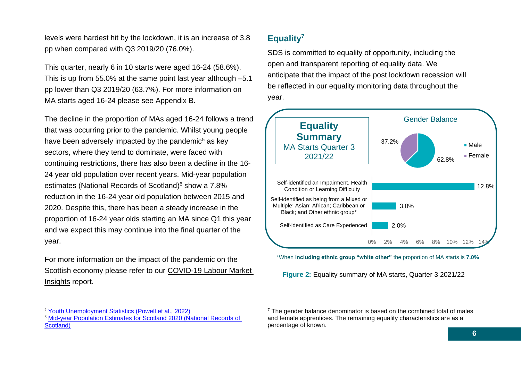levels were hardest hit by the lockdown, it is an increase of 3.8 pp when compared with Q3 2019/20 (76.0%).

This quarter, nearly 6 in 10 starts were aged 16-24 (58.6%). This is up from 55.0% at the same point last year although –5.1 pp lower than Q3 2019/20 (63.7%). For more information on MA starts aged 16-24 please see Appendix B.

The decline in the proportion of MAs aged 16-24 follows a trend that was occurring prior to the pandemic. Whilst young people have been adversely impacted by the pandemic<sup>5</sup> as key sectors, where they tend to dominate, were faced with continuing restrictions, there has also been a decline in the 16- 24 year old population over recent years. Mid-year population estimates (National Records of Scotland)<sup>6</sup> show a 7.8% reduction in the 16-24 year old population between 2015 and 2020. Despite this, there has been a steady increase in the proportion of 16-24 year olds starting an MA since Q1 this year and we expect this may continue into the final quarter of the year.

For more information on the impact of the pandemic on the Scottish economy please refer to our [COVID-19 Labour Market](https://www.skillsdevelopmentscotland.co.uk/what-we-do/skills-planning/covid-19-labour-market-insights/)  [Insights](https://www.skillsdevelopmentscotland.co.uk/what-we-do/skills-planning/covid-19-labour-market-insights/) report.

# **Equality<sup>7</sup>**

SDS is committed to equality of opportunity, including the open and transparent reporting of equality data. We anticipate that the impact of the post lockdown recession will be reflected in our equality monitoring data throughout the year.



\*When **including ethnic group "white other"** the proportion of MA starts is **7.0%**

**Figure 2:** Equality summary of MA starts, Quarter 3 2021/22

<sup>5</sup> [Youth Unemployment Statistics \(Powell et al., 2022\)](https://commonslibrary.parliament.uk/research-briefings/sn05871/)

<sup>6</sup> [Mid-year Population Estimates for Scotland 2020 \(National Records of](https://scotland.shinyapps.io/nrs-population-estimates/)  [Scotland\)](https://scotland.shinyapps.io/nrs-population-estimates/)

 $7$  The gender balance denominator is based on the combined total of males and female apprentices. The remaining equality characteristics are as a percentage of known.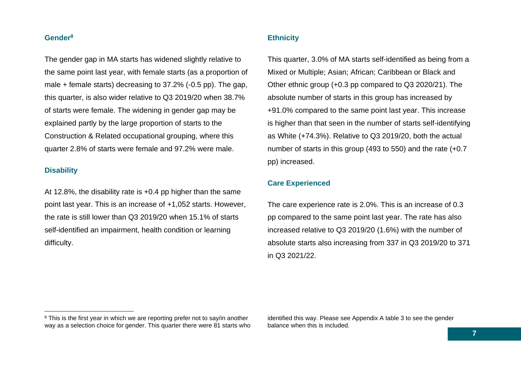#### **Gender<sup>8</sup>**

The gender gap in MA starts has widened slightly relative to the same point last year, with female starts (as a proportion of male + female starts) decreasing to 37.2% (-0.5 pp). The gap, this quarter, is also wider relative to Q3 2019/20 when 38.7% of starts were female. The widening in gender gap may be explained partly by the large proportion of starts to the Construction & Related occupational grouping, where this quarter 2.8% of starts were female and 97.2% were male.

#### **Disability**

At 12.8%, the disability rate is +0.4 pp higher than the same point last year. This is an increase of +1,052 starts. However, the rate is still lower than Q3 2019/20 when 15.1% of starts self-identified an impairment, health condition or learning difficulty.

#### **Ethnicity**

This quarter, 3.0% of MA starts self-identified as being from a Mixed or Multiple; Asian; African; Caribbean or Black and Other ethnic group (+0.3 pp compared to Q3 2020/21). The absolute number of starts in this group has increased by +91.0% compared to the same point last year. This increase is higher than that seen in the number of starts self-identifying as White (+74.3%). Relative to Q3 2019/20, both the actual number of starts in this group (493 to 550) and the rate (+0.7 pp) increased.

#### **Care Experienced**

The care experience rate is 2.0%. This is an increase of 0.3 pp compared to the same point last year. The rate has also increased relative to Q3 2019/20 (1.6%) with the number of absolute starts also increasing from 337 in Q3 2019/20 to 371 in Q3 2021/22.

identified this way. Please see Appendix A table 3 to see the gender balance when this is included.

<sup>&</sup>lt;sup>8</sup> This is the first year in which we are reporting prefer not to say/in another way as a selection choice for gender. This quarter there were 81 starts who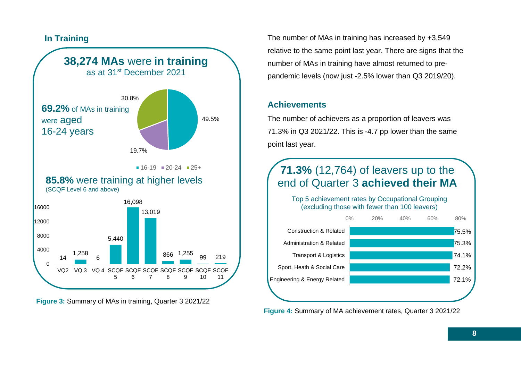# **In Training**



**Figure 3:** Summary of MAs in training, Quarter 3 2021/22

The number of MAs in training has increased by +3,549 relative to the same point last year. There are signs that the number of MAs in training have almost returned to prepandemic levels (now just -2.5% lower than Q3 2019/20).

# **Achievements**

The number of achievers as a proportion of leavers was 71.3% in Q3 2021/22. This is -4.7 pp lower than the same point last year.

# **71.3%** (12,764) of leavers up to the end of Quarter 3 **achieved their MA**

Top 5 achievement rates by Occupational Grouping (excluding those with fewer than 100 leavers)



**Figure 4:** Summary of MA achievement rates, Quarter 3 2021/22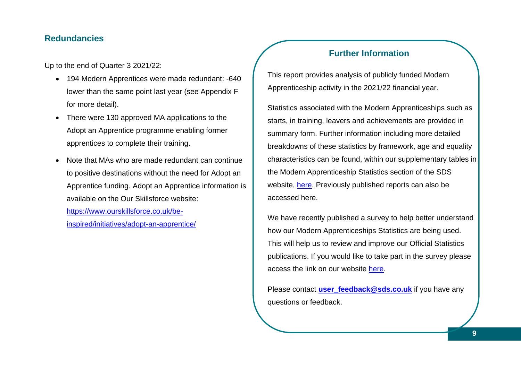# **Redundancies**

Up to the end of Quarter 3 2021/22:

- 194 Modern Apprentices were made redundant: -640 lower than the same point last year (see Appendix F for more detail).
- There were 130 approved MA applications to the Adopt an Apprentice programme enabling former apprentices to complete their training.
- Note that MAs who are made redundant can continue to positive destinations without the need for Adopt an Apprentice funding. Adopt an Apprentice information is available on the Our Skillsforce website:

[https://www.ourskillsforce.co.uk/be](https://www.ourskillsforce.co.uk/be-inspired/initiatives/adopt-an-apprentice/)[inspired/initiatives/adopt-an-apprentice/](https://www.ourskillsforce.co.uk/be-inspired/initiatives/adopt-an-apprentice/)

# **Further Information**

This report provides analysis of publicly funded Modern Apprenticeship activity in the 2021/22 financial year.

Statistics associated with the Modern Apprenticeships such as starts, in training, leavers and achievements are provided in summary form. Further information including more detailed breakdowns of these statistics by framework, age and equality characteristics can be found, within our supplementary tables in the Modern Apprenticeship Statistics section of the SDS website, [here.](https://www.skillsdevelopmentscotland.co.uk/publications-statistics/statistics/modern-apprenticeships/?page=1&statisticCategoryId=4&order=date-desc) Previously published reports can also be accessed here.

We have recently published a survey to help better understand how our Modern Apprenticeships Statistics are being used. This will help us to review and improve our Official Statistics publications. If you would like to take part in the survey please access the link on our website [here.](https://www.skillsdevelopmentscotland.co.uk/publications-statistics/statistics/?page=1)

Please contact **[user\\_feedback@sds.co.uk](mailto:user_feedback@sds.co.uk)** if you have any questions or feedback.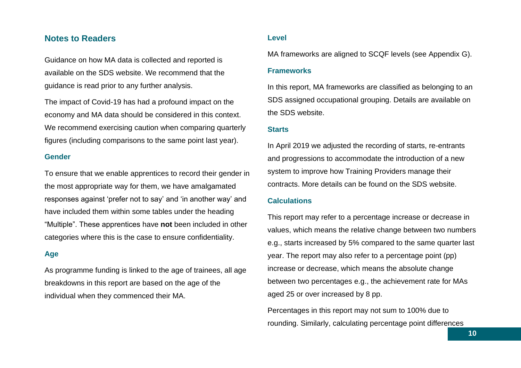## <span id="page-9-0"></span>**Notes to Readers**

Guidance on how MA data is collected and reported is available on the SDS website. We recommend that the guidance is read prior to any further analysis.

The impact of Covid-19 has had a profound impact on the economy and MA data should be considered in this context. We recommend exercising caution when comparing quarterly figures (including comparisons to the same point last year).

#### **Gender**

To ensure that we enable apprentices to record their gender in the most appropriate way for them, we have amalgamated responses against 'prefer not to say' and 'in another way' and have included them within some tables under the heading "Multiple". These apprentices have **not** been included in other categories where this is the case to ensure confidentiality.

#### **Age**

As programme funding is linked to the age of trainees, all age breakdowns in this report are based on the age of the individual when they commenced their MA.

#### **Level**

MA frameworks are aligned to SCQF levels (see Appendix G).

#### **Frameworks**

In this report, MA frameworks are classified as belonging to an SDS assigned occupational grouping. Details are available on the SDS website.

#### **Starts**

In April 2019 we adjusted the recording of starts, re-entrants and progressions to accommodate the introduction of a new system to improve how Training Providers manage their contracts. More details can be found on the SDS website.

#### **Calculations**

This report may refer to a percentage increase or decrease in values, which means the relative change between two numbers e.g., starts increased by 5% compared to the same quarter last year. The report may also refer to a percentage point (pp) increase or decrease, which means the absolute change between two percentages e.g., the achievement rate for MAs aged 25 or over increased by 8 pp.

Percentages in this report may not sum to 100% due to rounding. Similarly, calculating percentage point differences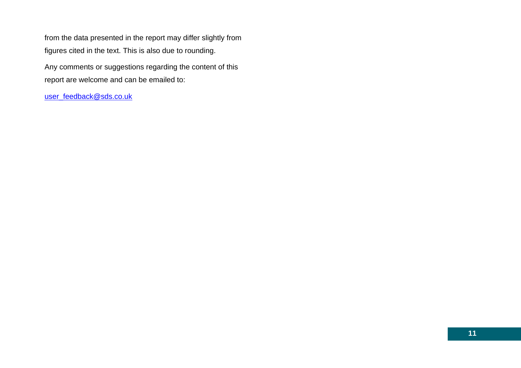from the data presented in the report may differ slightly from figures cited in the text. This is also due to rounding. Any comments or suggestions regarding the content of this report are welcome and can be emailed to:

[user\\_feedback@sds.co.uk](mailto:user_feedback@sds.co.uk)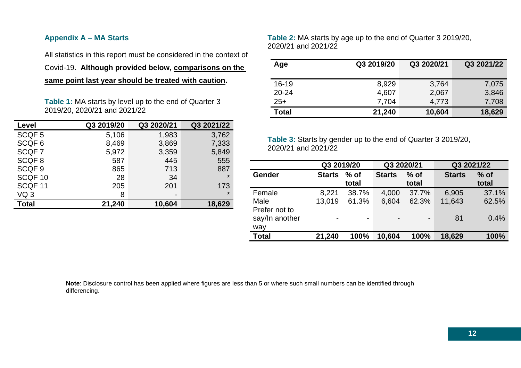#### <span id="page-11-0"></span>**Appendix A – MA Starts**

All statistics in this report must be considered in the context of

Covid-19. **Although provided below, comparisons on the** 

**same point last year should be treated with caution.**

**Table 1:** MA starts by level up to the end of Quarter 3 2019/20, 2020/21 and 2021/22

| Level              | Q3 2019/20 | Q3 2020/21               | Q3 2021/22 |
|--------------------|------------|--------------------------|------------|
| SCQF <sub>5</sub>  | 5,106      | 1,983                    | 3,762      |
| SCQF <sub>6</sub>  | 8,469      | 3,869                    | 7,333      |
| SCQF7              | 5,972      | 3,359                    | 5,849      |
| SCQF8              | 587        | 445                      | 555        |
| SCQF <sub>9</sub>  | 865        | 713                      | 887        |
| SCQF <sub>10</sub> | 28         | 34                       | $\star$    |
| SCQF <sub>11</sub> | 205        | 201                      | 173        |
| VQ <sub>3</sub>    | 8          | $\overline{\phantom{0}}$ | $\star$    |
| <b>Total</b>       | 21,240     | 10,604                   | 18,629     |

**Table 2:** MA starts by age up to the end of Quarter 3 2019/20, 2020/21 and 2021/22

| Age          | Q3 2019/20 | Q3 2020/21 | Q3 2021/22 |
|--------------|------------|------------|------------|
|              |            |            |            |
| $16 - 19$    | 8,929      | 3,764      | 7,075      |
| $20 - 24$    | 4,607      | 2,067      | 3,846      |
| $25+$        | 7,704      | 4,773      | 7,708      |
| <b>Total</b> | 21,240     | 10,604     | 18,629     |

**Table 3:** Starts by gender up to the end of Quarter 3 2019/20, 2020/21 and 2021/22

|                                        |               | Q3 2019/20    |                                  | Q3 2020/21 |               | Q3 2021/22      |
|----------------------------------------|---------------|---------------|----------------------------------|------------|---------------|-----------------|
| Gender                                 | <b>Starts</b> | % of<br>total | $%$ of<br><b>Starts</b><br>total |            | <b>Starts</b> | $%$ of<br>total |
| Female                                 | 8,221         | 38.7%         | 4,000                            | 37.7%      | 6,905         | 37.1%           |
| Male                                   | 13,019        | 61.3%         | 6,604                            | 62.3%      | 11,643        | 62.5%           |
| Prefer not to<br>say/In another<br>way | Ξ.            | Ξ.            | $\overline{\phantom{0}}$         | -          | 81            | 0.4%            |
| <b>Total</b>                           | 21,240        | 100%          | 10,604                           | 100%       | 18,629        | 100%            |

**Note**: Disclosure control has been applied where figures are less than 5 or where such small numbers can be identified through differencing.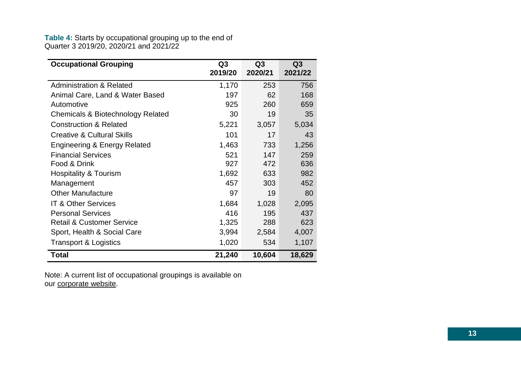#### **Table 4:** Starts by occupational grouping up to the end of Quarter 3 2019/20, 2020/21 and 2021/22

| <b>Occupational Grouping</b>            | Q <sub>3</sub><br>2019/20 | Q3<br>2020/21 | Q3<br>2021/22 |
|-----------------------------------------|---------------------------|---------------|---------------|
| <b>Administration &amp; Related</b>     | 1,170                     | 253           | 756           |
| Animal Care, Land & Water Based         | 197                       | 62            | 168           |
| Automotive                              | 925                       | 260           | 659           |
| Chemicals & Biotechnology Related       | 30                        | 19            | 35            |
| <b>Construction &amp; Related</b>       | 5,221                     | 3,057         | 5,034         |
| <b>Creative &amp; Cultural Skills</b>   | 101                       | 17            | 43            |
| <b>Engineering &amp; Energy Related</b> | 1,463                     | 733           | 1,256         |
| <b>Financial Services</b>               | 521                       | 147           | 259           |
| Food & Drink                            | 927                       | 472           | 636           |
| <b>Hospitality &amp; Tourism</b>        | 1,692                     | 633           | 982           |
| Management                              | 457                       | 303           | 452           |
| <b>Other Manufacture</b>                | 97                        | 19            | 80            |
| <b>IT &amp; Other Services</b>          | 1,684                     | 1,028         | 2,095         |
| <b>Personal Services</b>                | 416                       | 195           | 437           |
| <b>Retail &amp; Customer Service</b>    | 1,325                     | 288           | 623           |
| Sport, Health & Social Care             | 3,994                     | 2,584         | 4,007         |
| <b>Transport &amp; Logistics</b>        | 1,020                     | 534           | 1,107         |
| Total                                   | 21,240                    | 10,604        | 18,629        |

Note: A current list of occupational groupings is available on our [corporate website.](https://www.skillsdevelopmentscotland.co.uk/publications-statistics/statistics/modern-apprenticeships/?page=1&statisticCategoryId=4&order=date-desc)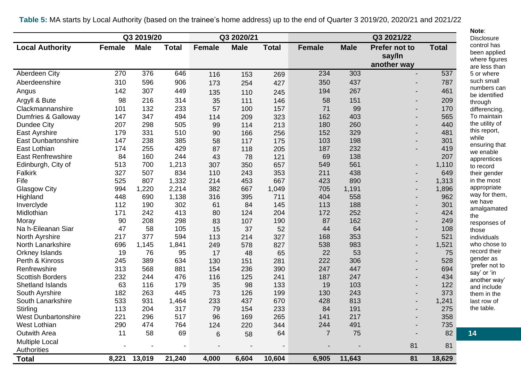|                                 |               | Q3 2019/20  |              |                          | Q3 2020/21  |              |                |             | Q3 2021/22                             |              |
|---------------------------------|---------------|-------------|--------------|--------------------------|-------------|--------------|----------------|-------------|----------------------------------------|--------------|
| <b>Local Authority</b>          | <b>Female</b> | <b>Male</b> | <b>Total</b> | <b>Female</b>            | <b>Male</b> | <b>Total</b> | <b>Female</b>  | <b>Male</b> | Prefer not to<br>say/In<br>another way | <b>Total</b> |
| Aberdeen City                   | 270           | 376         | 646          | 116                      | 153         | 269          | 234            | 303         |                                        | 537          |
| Aberdeenshire                   | 310           | 596         | 906          | 173                      | 254         | 427          | 350            | 437         |                                        | 787          |
| Angus                           | 142           | 307         | 449          | 135                      | 110         | 245          | 194            | 267         |                                        | 461          |
| Argyll & Bute                   | 98            | 216         | 314          | 35                       | 111         | 146          | 58             | 151         |                                        | 209          |
| Clackmannanshire                | 101           | 132         | 233          | 57                       | 100         | 157          | 71             | 99          |                                        | 170          |
| Dumfries & Galloway             | 147           | 347         | 494          | 114                      | 209         | 323          | 162            | 403         |                                        | 565          |
| Dundee City                     | 207           | 298         | 505          | 99                       | 114         | 213          | 180            | 260         |                                        | 440          |
| East Ayrshire                   | 179           | 331         | 510          | 90                       | 166         | 256          | 152            | 329         |                                        | 481          |
| <b>East Dunbartonshire</b>      | 147           | 238         | 385          | 58                       | 117         | 175          | 103            | 198         |                                        | 301          |
| East Lothian                    | 174           | 255         | 429          | 87                       | 118         | 205          | 187            | 232         |                                        | 419          |
| <b>East Renfrewshire</b>        | 84            | 160         | 244          | 43                       | 78          | 121          | 69             | 138         |                                        | 207          |
| Edinburgh, City of              | 513           | 700         | 1,213        | 307                      | 350         | 657          | 549            | 561         |                                        | 1,110        |
| Falkirk                         | 327           | 507         | 834          | 110                      | 243         | 353          | 211            | 438         |                                        | 649          |
| Fife                            | 525           | 807         | 1,332        | 214                      | 453         | 667          | 423            | 890         |                                        | 1,313        |
| <b>Glasgow City</b>             | 994           | 1,220       | 2,214        | 382                      | 667         | 1,049        | 705            | 1,191       |                                        | 1,896        |
| Highland                        | 448           | 690         | 1,138        | 316                      | 395         | 711          | 404            | 558         |                                        | 962          |
| Inverclyde                      | 112           | 190         | 302          | 61                       | 84          | 145          | 113            | 188         |                                        | 301          |
| Midlothian                      | 171           | 242         | 413          | 80                       | 124         | 204          | 172            | 252         |                                        | 424          |
| Moray                           | 90            | 208         | 298          | 83                       | 107         | 190          | 87             | 162         |                                        | 249          |
| Na h-Eileanan Siar              | 47            | 58          | 105          | 15                       | 37          | 52           | 44             | 64          |                                        | 108          |
| North Ayrshire                  | 217           | 377         | 594          | 113                      | 214         | 327          | 168            | 353         |                                        | 521          |
| North Lanarkshire               | 696           | 1,145       | 1,841        | 249                      | 578         | 827          | 538            | 983         |                                        | 1,521        |
| <b>Orkney Islands</b>           | 19            | 76          | 95           | 17                       | 48          | 65           | 22<br>222      | 53<br>306   |                                        | 75<br>528    |
| Perth & Kinross<br>Renfrewshire | 245           | 389         | 634          | 130                      | 151         | 281          |                | 447         |                                        | 694          |
| <b>Scottish Borders</b>         | 313<br>232    | 568<br>244  | 881<br>476   | 154<br>116               | 236<br>125  | 390<br>241   | 247<br>187     | 247         |                                        | 434          |
| <b>Shetland Islands</b>         | 63            | 116         | 179          | 35                       | 98          | 133          | 19             | 103         |                                        | 122          |
| South Ayrshire                  | 182           | 263         | 445          | 73                       | 126         | 199          | 130            | 243         |                                        | 373          |
| South Lanarkshire               | 533           | 931         | 1,464        | 233                      | 437         | 670          | 428            | 813         |                                        | 1,241        |
| Stirling                        | 113           | 204         | 317          | 79                       | 154         | 233          | 84             | 191         |                                        | 275          |
| <b>West Dunbartonshire</b>      | 221           | 296         | 517          | 96                       | 169         | 265          | 141            | 217         |                                        | 358          |
| West Lothian                    | 290           | 474         | 764          | 124                      | 220         | 344          | 244            | 491         |                                        | 735          |
| <b>Outwith Area</b>             | 11            | 58          | 69           | 6                        | 58          | 64           | $\overline{7}$ | 75          |                                        | 82           |
| <b>Multiple Local</b>           |               |             |              |                          |             |              |                |             |                                        |              |
| Authorities                     |               |             |              | $\overline{\phantom{a}}$ |             |              |                |             | 81                                     | 81           |
| <b>Total</b>                    | 8,221         | 13,019      | 21,240       | 4,000                    | 6,604       | 10,604       | 6,905          | 11,643      | 81                                     | 18,629       |

**Table 5:** MA starts by Local Authority (based on the trainee's home address) up to the end of Quarter 3 2019/20, 2020/21 and 2021/22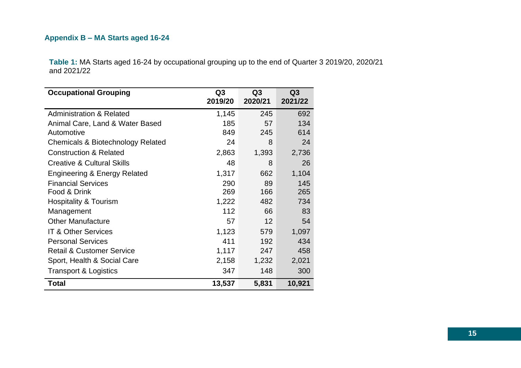# <span id="page-14-0"></span>**Appendix B – MA Starts aged 16-24**

**Table 1:** MA Starts aged 16-24 by occupational grouping up to the end of Quarter 3 2019/20, 2020/21 and 2021/22

| <b>Occupational Grouping</b>            | Q <sub>3</sub><br>2019/20 | Q <sub>3</sub><br>2020/21 | Q3<br>2021/22 |
|-----------------------------------------|---------------------------|---------------------------|---------------|
| <b>Administration &amp; Related</b>     | 1,145                     | 245                       | 692           |
| Animal Care, Land & Water Based         | 185                       | 57                        | 134           |
| Automotive                              | 849                       | 245                       | 614           |
| Chemicals & Biotechnology Related       | 24                        | 8                         | 24            |
| <b>Construction &amp; Related</b>       | 2,863                     | 1,393                     | 2,736         |
| <b>Creative &amp; Cultural Skills</b>   | 48                        | 8                         | 26            |
| <b>Engineering &amp; Energy Related</b> | 1,317                     | 662                       | 1,104         |
| <b>Financial Services</b>               | 290                       | 89                        | 145           |
| Food & Drink                            | 269                       | 166                       | 265           |
| Hospitality & Tourism                   | 1,222                     | 482                       | 734           |
| Management                              | 112                       | 66                        | 83            |
| <b>Other Manufacture</b>                | 57                        | 12                        | 54            |
| <b>IT &amp; Other Services</b>          | 1,123                     | 579                       | 1,097         |
| <b>Personal Services</b>                | 411                       | 192                       | 434           |
| <b>Retail &amp; Customer Service</b>    | 1,117                     | 247                       | 458           |
| Sport, Health & Social Care             | 2,158                     | 1,232                     | 2,021         |
| <b>Transport &amp; Logistics</b>        | 347                       | 148                       | 300           |
| Total                                   | 13,537                    | 5,831                     | 10,921        |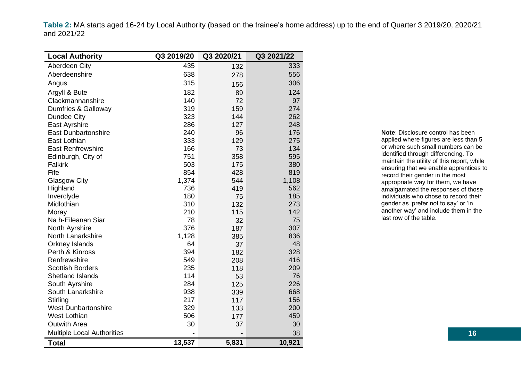**Table 2:** MA starts aged 16-24 by Local Authority (based on the trainee's home address) up to the end of Quarter 3 2019/20, 2020/21 and 2021/22

| <b>Local Authority</b>            | Q3 2019/20 | Q3 2020/21 | Q3 2021/22 |
|-----------------------------------|------------|------------|------------|
| Aberdeen City                     | 435        | 132        | 333        |
| Aberdeenshire                     | 638        | 278        | 556        |
| Angus                             | 315        | 156        | 306        |
| Argyll & Bute                     | 182        | 89         | 124        |
| Clackmannanshire                  | 140        | 72         | 97         |
| Dumfries & Galloway               | 319        | 159        | 274        |
| Dundee City                       | 323        | 144        | 262        |
| East Ayrshire                     | 286        | 127        | 248        |
| <b>East Dunbartonshire</b>        | 240        | 96         | 176        |
| East Lothian                      | 333        | 129        | 275        |
| <b>East Renfrewshire</b>          | 166        | 73         | 134        |
| Edinburgh, City of                | 751        | 358        | 595        |
| Falkirk                           | 503        | 175        | 380        |
| Fife                              | 854        | 428        | 819        |
| <b>Glasgow City</b>               | 1,374      | 544        | 1,108      |
| Highland                          | 736        | 419        | 562        |
| Inverclyde                        | 180        | 75         | 185        |
| Midlothian                        | 310        | 132        | 273        |
| Moray                             | 210        | 115        | 142        |
| Na h-Eileanan Siar                | 78         | 32         | 75         |
| North Ayrshire                    | 376        | 187        | 307        |
| North Lanarkshire                 | 1,128      | 385        | 836        |
| <b>Orkney Islands</b>             | 64         | 37         | 48         |
| Perth & Kinross                   | 394        | 182        | 328        |
| Renfrewshire                      | 549        | 208        | 416        |
| <b>Scottish Borders</b>           | 235        | 118        | 209        |
| <b>Shetland Islands</b>           | 114        | 53         | 76         |
| South Ayrshire                    | 284        | 125        | 226        |
| South Lanarkshire                 | 938        | 339        | 668        |
| Stirling                          | 217        | 117        | 156        |
| <b>West Dunbartonshire</b>        | 329        | 133        | 200        |
| <b>West Lothian</b>               | 506        | 177        | 459        |
| <b>Outwith Area</b>               | 30         | 37         | 30         |
| <b>Multiple Local Authorities</b> |            |            | 38         |
| <b>Total</b>                      | 13,537     | 5,831      | 10,921     |

**Note**: Disclosure control has been applied where figures are less than 5 or where such small numbers can be identified through differencing. To maintain the utility of this report, while ensuring that we enable apprentices to record their gender in the most appropriate way for them, we have amalgamated the responses of those individuals who chose to record their gender as 'prefer not to say' or 'in another way' and include them in the last row of the table.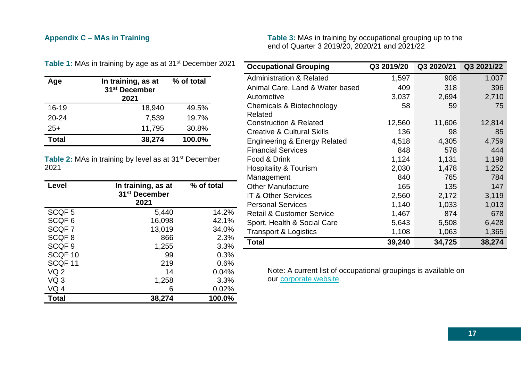# <span id="page-16-0"></span>**Appendix C – MAs in Training**

**Table 3:** MAs in training by occupational grouping up to the end of Quarter 3 2019/20, 2020/21 and 2021/22

| Age          | In training, as at<br>31 <sup>st</sup> December<br>2021 | % of total |
|--------------|---------------------------------------------------------|------------|
| $16 - 19$    | 18,940                                                  | 49.5%      |
| $20 - 24$    | 7,539                                                   | 19.7%      |
| $25+$        | 11,795                                                  | 30.8%      |
| <b>Total</b> | 38,274                                                  | 100.0%     |

Table 1: MAs in training by age as at 31<sup>st</sup> December 2021

Table 2: MAs in training by level as at 31<sup>st</sup> December 2021

| Level              | In training, as at<br>31 <sup>st</sup> December<br>2021 | % of total |
|--------------------|---------------------------------------------------------|------------|
| SCQF <sub>5</sub>  | 5,440                                                   | 14.2%      |
| SCQF <sub>6</sub>  | 16,098                                                  | 42.1%      |
| SCQF7              | 13,019                                                  | 34.0%      |
| SCQF <sub>8</sub>  | 866                                                     | 2.3%       |
| SCQF <sub>9</sub>  | 1,255                                                   | 3.3%       |
| SCQF <sub>10</sub> | 99                                                      | 0.3%       |
| SCQF <sub>11</sub> | 219                                                     | 0.6%       |
| VQ <sub>2</sub>    | 14                                                      | 0.04%      |
| VQ 3               | 1,258                                                   | 3.3%       |
| VQ 4               | 6                                                       | 0.02%      |
| <b>Total</b>       | 38,274                                                  | 100.0%     |

| <b>Occupational Grouping</b>            | Q3 2019/20 | Q3 2020/21 | Q3 2021/22 |
|-----------------------------------------|------------|------------|------------|
| <b>Administration &amp; Related</b>     | 1,597      | 908        | 1,007      |
| Animal Care, Land & Water based         | 409        | 318        | 396        |
| Automotive                              | 3,037      | 2,694      | 2,710      |
| Chemicals & Biotechnology               | 58         | 59         | 75         |
| Related                                 |            |            |            |
| <b>Construction &amp; Related</b>       | 12,560     | 11,606     | 12,814     |
| <b>Creative &amp; Cultural Skills</b>   | 136        | 98         | 85         |
| <b>Engineering &amp; Energy Related</b> | 4,518      | 4,305      | 4,759      |
| <b>Financial Services</b>               | 848        | 578        | 444        |
| Food & Drink                            | 1,124      | 1,131      | 1,198      |
| <b>Hospitality &amp; Tourism</b>        | 2,030      | 1,478      | 1,252      |
| Management                              | 840        | 765        | 784        |
| <b>Other Manufacture</b>                | 165        | 135        | 147        |
| IT & Other Services                     | 2,560      | 2,172      | 3,119      |
| <b>Personal Services</b>                | 1,140      | 1,033      | 1,013      |
| <b>Retail &amp; Customer Service</b>    | 1,467      | 874        | 678        |
| Sport, Health & Social Care             | 5,643      | 5,508      | 6,428      |
| <b>Transport &amp; Logistics</b>        | 1,108      | 1,063      | 1,365      |
| <b>Total</b>                            | 39,240     | 34,725     | 38,274     |

Note: A current list of occupational groupings is available on our [corporate website.](https://www.skillsdevelopmentscotland.co.uk/publications-statistics/statistics/modern-apprenticeships/?page=1&statisticCategoryId=4&order=date-desc)

## **17**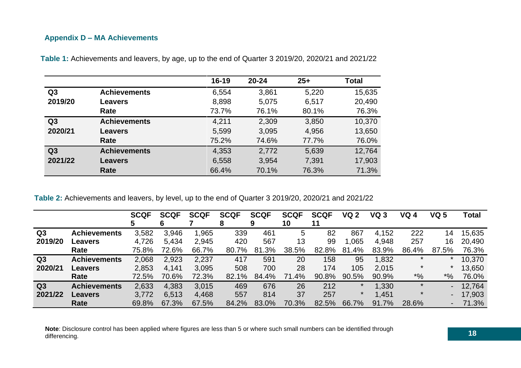## <span id="page-17-0"></span>**Appendix D – MA Achievements**

|                |                     | $16 - 19$ | $20 - 24$ | $25+$ | <b>Total</b> |
|----------------|---------------------|-----------|-----------|-------|--------------|
| Q <sub>3</sub> | <b>Achievements</b> | 6,554     | 3,861     | 5,220 | 15,635       |
| 2019/20        | <b>Leavers</b>      | 8,898     | 5,075     | 6,517 | 20,490       |
|                | Rate                | 73.7%     | 76.1%     | 80.1% | 76.3%        |
| Q <sub>3</sub> | <b>Achievements</b> | 4,211     | 2,309     | 3,850 | 10,370       |
| 2020/21        | <b>Leavers</b>      | 5,599     | 3,095     | 4,956 | 13,650       |
|                | Rate                | 75.2%     | 74.6%     | 77.7% | 76.0%        |
| Q3             | <b>Achievements</b> | 4,353     | 2,772     | 5,639 | 12,764       |
| 2021/22        | <b>Leavers</b>      | 6,558     | 3,954     | 7,391 | 17,903       |
|                | Rate                | 66.4%     | 70.1%     | 76.3% | 71.3%        |

**Table 1:** Achievements and leavers, by age, up to the end of Quarter 3 2019/20, 2020/21 and 2021/22

**Table 2:** Achievements and leavers, by level, up to the end of Quarter 3 2019/20, 2020/21 and 2021/22

|                |                     | <b>SCQF</b><br>5 | <b>SCQF</b><br>6 | <b>SCQF</b> | <b>SCQF</b><br>8 | <b>SCQF</b><br>9 | <b>SCQF</b><br>10 | <b>SCQF</b><br>11 | <b>VQ 2</b> | VQ 3  | VQ 4    | VQ 5                 | Total  |
|----------------|---------------------|------------------|------------------|-------------|------------------|------------------|-------------------|-------------------|-------------|-------|---------|----------------------|--------|
| Q <sub>3</sub> | <b>Achievements</b> | 3,582            | 3,946            | 1,965       | 339              | 461              | 5                 | 82                | 867         | 4,152 | 222     | 14                   | 15,635 |
| 2019/20        | Leavers             | 4,726            | 5,434            | 2,945       | 420              | 567              | 13                | 99                | 1,065       | 4,948 | 257     | 16                   | 20,490 |
|                | Rate                | 75.8%            | 72.6%            | 66.7%       | 80.7%            | 81.3%            | 38.5%             | 82.8%             | 81.4%       | 83.9% | 86.4%   | 87.5%                | 76.3%  |
| Q <sub>3</sub> | <b>Achievements</b> | 2,068            | 2,923            | 2,237       | 417              | 591              | 20                | 158               | 95          | 1,832 | $\star$ | *                    | 10,370 |
| 2020/21        | <b>Leavers</b>      | 2,853            | 4,141            | 3,095       | 508              | 700              | 28                | 174               | 105         | 2,015 |         |                      | 13,650 |
|                | Rate                | 72.5%            | 70.6%            | 72.3%       | 82.1%            | 84.4%            | 71.4%             | 90.8%             | 90.5%       | 90.9% | $*9/6$  | $^{*9}$ <sub>6</sub> | 76.0%  |
| Q <sub>3</sub> | <b>Achievements</b> | 2,633            | 4,383            | 3,015       | 469              | 676              | 26                | 212               | $\ast$      | 1,330 | $\star$ |                      | 12,764 |
| 2021/22        | <b>Leavers</b>      | 3,772            | 6,513            | 4,468       | 557              | 814              | 37                | 257               | $\star$     | 1,451 | $\ast$  |                      | 17,903 |
|                | Rate                | 69.8%            | 67.3%            | 67.5%       | 84.2%            | 83.0%            | 70.3%             | 82.5%             | 66.7%       | 91.7% | 28.6%   |                      | 71.3%  |

**Note**: Disclosure control has been applied where figures are less than 5 or where such small numbers can be identified through differencing.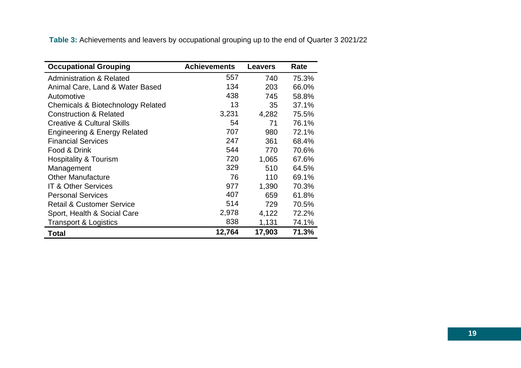**Table 3:** Achievements and leavers by occupational grouping up to the end of Quarter 3 2021/22

| <b>Occupational Grouping</b>            | <b>Achievements</b> | <b>Leavers</b> | Rate  |
|-----------------------------------------|---------------------|----------------|-------|
| <b>Administration &amp; Related</b>     | 557                 | 740            | 75.3% |
| Animal Care, Land & Water Based         | 134                 | 203            | 66.0% |
| Automotive                              | 438                 | 745            | 58.8% |
| Chemicals & Biotechnology Related       | 13                  | 35             | 37.1% |
| <b>Construction &amp; Related</b>       | 3,231               | 4,282          | 75.5% |
| <b>Creative &amp; Cultural Skills</b>   | 54                  | 71             | 76.1% |
| <b>Engineering &amp; Energy Related</b> | 707                 | 980            | 72.1% |
| <b>Financial Services</b>               | 247                 | 361            | 68.4% |
| Food & Drink                            | 544                 | 770            | 70.6% |
| <b>Hospitality &amp; Tourism</b>        | 720                 | 1,065          | 67.6% |
| Management                              | 329                 | 510            | 64.5% |
| <b>Other Manufacture</b>                | 76                  | 110            | 69.1% |
| <b>IT &amp; Other Services</b>          | 977                 | 1,390          | 70.3% |
| <b>Personal Services</b>                | 407                 | 659            | 61.8% |
| <b>Retail &amp; Customer Service</b>    | 514                 | 729            | 70.5% |
| Sport, Health & Social Care             | 2,978               | 4,122          | 72.2% |
| <b>Transport &amp; Logistics</b>        | 838                 | 1,131          | 74.1% |
| Total                                   | 12,764              | 17,903         | 71.3% |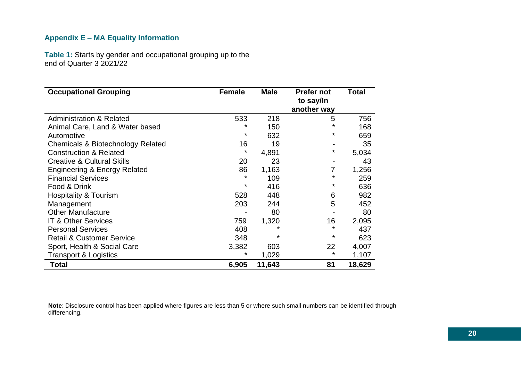# <span id="page-19-0"></span>**Appendix E – MA Equality Information**

**Table 1:** Starts by gender and occupational grouping up to the end of Quarter 3 2021/22

| <b>Occupational Grouping</b>                 | <b>Female</b> | <b>Male</b> | <b>Prefer not</b><br>to say/In<br>another way | Total  |
|----------------------------------------------|---------------|-------------|-----------------------------------------------|--------|
| <b>Administration &amp; Related</b>          | 533           | 218         | 5                                             | 756    |
| Animal Care, Land & Water based              | ¥             | 150         | *                                             | 168    |
| Automotive                                   | $^\star$      | 632         | *                                             | 659    |
| <b>Chemicals &amp; Biotechnology Related</b> | 16            | 19          |                                               | 35     |
| <b>Construction &amp; Related</b>            | $^\star$      | 4,891       | *                                             | 5,034  |
| <b>Creative &amp; Cultural Skills</b>        | 20            | 23          |                                               | 43     |
| <b>Engineering &amp; Energy Related</b>      | 86            | 1,163       |                                               | 1,256  |
| <b>Financial Services</b>                    | $\star$       | 109         | $\star$                                       | 259    |
| Food & Drink                                 | $^\star$      | 416         | *                                             | 636    |
| Hospitality & Tourism                        | 528           | 448         | 6                                             | 982    |
| Management                                   | 203           | 244         | 5                                             | 452    |
| <b>Other Manufacture</b>                     |               | 80          |                                               | 80     |
| <b>IT &amp; Other Services</b>               | 759           | 1,320       | 16                                            | 2,095  |
| <b>Personal Services</b>                     | 408           | *           | $\star$                                       | 437    |
| <b>Retail &amp; Customer Service</b>         | 348           | $^\star$    | *                                             | 623    |
| Sport, Health & Social Care                  | 3,382         | 603         | 22                                            | 4,007  |
| <b>Transport &amp; Logistics</b>             | $^\star$      | 1,029       | $^\star$                                      | 1,107  |
| <b>Total</b>                                 | 6,905         | 11,643      | 81                                            | 18,629 |

**Note**: Disclosure control has been applied where figures are less than 5 or where such small numbers can be identified through differencing.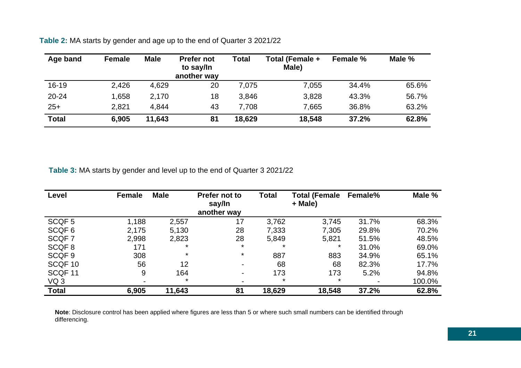| Age band     | <b>Female</b> | <b>Male</b> | <b>Prefer not</b><br>to say/In<br>another way | Total  | Total (Female +<br>Male) | Female % | Male % |
|--------------|---------------|-------------|-----------------------------------------------|--------|--------------------------|----------|--------|
| $16 - 19$    | 2,426         | 4,629       | 20                                            | 7.075  | 7,055                    | 34.4%    | 65.6%  |
| $20 - 24$    | 1,658         | 2,170       | 18                                            | 3,846  | 3,828                    | 43.3%    | 56.7%  |
| $25+$        | 2,821         | 4,844       | 43                                            | 7,708  | 7,665                    | 36.8%    | 63.2%  |
| <b>Total</b> | 6,905         | 11,643      | 81                                            | 18,629 | 18,548                   | 37.2%    | 62.8%  |

**Table 2:** MA starts by gender and age up to the end of Quarter 3 2021/22

**Table 3:** MA starts by gender and level up to the end of Quarter 3 2021/22

| Level             | <b>Female</b> | <b>Male</b> | Prefer not to<br>say/In<br>another way | <b>Total</b> | <b>Total (Female</b><br>+ Male) | <b>Female%</b> | Male % |
|-------------------|---------------|-------------|----------------------------------------|--------------|---------------------------------|----------------|--------|
| SCQF <sub>5</sub> | 1,188         | 2,557       | 17                                     | 3,762        | 3,745                           | 31.7%          | 68.3%  |
| SCQF <sub>6</sub> | 2,175         | 5,130       | 28                                     | 7,333        | 7,305                           | 29.8%          | 70.2%  |
| SCQF 7            | 2,998         | 2,823       | 28                                     | 5,849        | 5,821                           | 51.5%          | 48.5%  |
| SCQF8             | 171           | *           | $\star$                                | $\star$      | *                               | 31.0%          | 69.0%  |
| SCQF <sub>9</sub> | 308           | $\star$     | $\star$                                | 887          | 883                             | 34.9%          | 65.1%  |
| SCQF 10           | 56            | 12          |                                        | 68           | 68                              | 82.3%          | 17.7%  |
| SCQF 11           | 9             | 164         | $\overline{\phantom{0}}$               | 173          | 173                             | 5.2%           | 94.8%  |
| VQ 3              |               | $\ast$      |                                        | $\ast$       | $\ast$                          |                | 100.0% |
| <b>Total</b>      | 6,905         | 11,643      | 81                                     | 18,629       | 18,548                          | 37.2%          | 62.8%  |

**Note**: Disclosure control has been applied where figures are less than 5 or where such small numbers can be identified through differencing.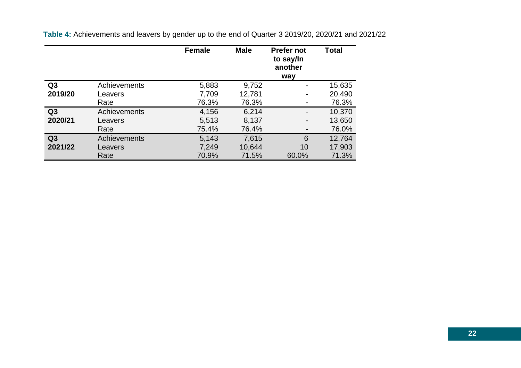|                |              | <b>Female</b> | <b>Male</b> | <b>Prefer not</b><br>to say/In<br>another<br>way | Total  |
|----------------|--------------|---------------|-------------|--------------------------------------------------|--------|
| Q <sub>3</sub> | Achievements | 5,883         | 9,752       |                                                  | 15,635 |
| 2019/20        | Leavers      | 7,709         | 12,781      | $\qquad \qquad \blacksquare$                     | 20,490 |
|                | Rate         | 76.3%         | 76.3%       | $\blacksquare$                                   | 76.3%  |
| Q3             | Achievements | 4,156         | 6,214       | -                                                | 10,370 |
| 2020/21        | Leavers      | 5,513         | 8,137       | $\blacksquare$                                   | 13,650 |
|                | Rate         | 75.4%         | 76.4%       | -                                                | 76.0%  |
| Q3             | Achievements | 5,143         | 7,615       | 6                                                | 12,764 |
| 2021/22        | Leavers      | 7,249         | 10,644      | 10                                               | 17,903 |
|                | Rate         | 70.9%         | 71.5%       | 60.0%                                            | 71.3%  |

**Table 4:** Achievements and leavers by gender up to the end of Quarter 3 2019/20, 2020/21 and 2021/22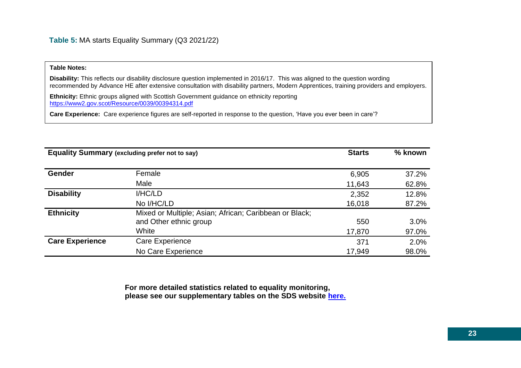#### **Table Notes:**

**Disability:** This reflects our disability disclosure question implemented in 2016/17. This was aligned to the question wording recommended by Advance HE after extensive consultation with disability partners, Modern Apprentices, training providers and employers.

**Ethnicity:** Ethnic groups aligned with Scottish Government guidance on ethnicity reporting <https://www2.gov.scot/Resource/0039/00394314.pdf>

**Care Experience:** Care experience figures are self-reported in response to the question, 'Have you ever been in care'?

| <b>Equality Summary (excluding prefer not to say)</b> | <b>Starts</b>                                          | % known |       |
|-------------------------------------------------------|--------------------------------------------------------|---------|-------|
|                                                       |                                                        |         |       |
| Gender                                                | Female                                                 | 6,905   | 37.2% |
|                                                       | Male                                                   | 11,643  | 62.8% |
| <b>Disability</b>                                     | I/HC/LD                                                | 2,352   | 12.8% |
|                                                       | No I/HC/LD                                             | 16,018  | 87.2% |
| <b>Ethnicity</b>                                      | Mixed or Multiple; Asian; African; Caribbean or Black; |         |       |
|                                                       | and Other ethnic group                                 | 550     | 3.0%  |
|                                                       | White                                                  | 17,870  | 97.0% |
| <b>Care Experience</b>                                | Care Experience                                        | 371     | 2.0%  |
|                                                       | No Care Experience                                     | 17,949  | 98.0% |

**For more detailed statistics related to equality monitoring, please see our supplementary tables on the SDS website [here.](https://www.skillsdevelopmentscotland.co.uk/publications-statistics/statistics/modern-apprenticeships/?page=1&statisticCategoryId=4&order=date-desc)**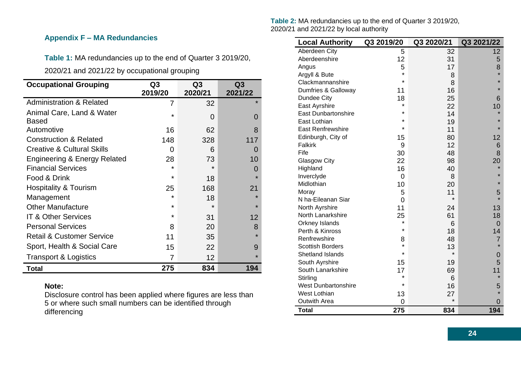## <span id="page-23-0"></span>**Appendix F – MA Redundancies**

**Table 1:** MA redundancies up to the end of Quarter 3 2019/20,

2020/21 and 2021/22 by occupational grouping

| <b>Occupational Grouping</b>            | Q3      | Q <sub>3</sub> | Q <sub>3</sub> |
|-----------------------------------------|---------|----------------|----------------|
|                                         | 2019/20 | 2020/21        | 2021/22        |
| <b>Administration &amp; Related</b>     | 7       | 32             | $\star$        |
| Animal Care, Land & Water               | $\star$ | $\Omega$       | 0              |
| <b>Based</b>                            |         |                |                |
| Automotive                              | 16      | 62             | 8              |
| <b>Construction &amp; Related</b>       | 148     | 328            | 117            |
| <b>Creative &amp; Cultural Skills</b>   | 0       | 6              | $\Omega$       |
| <b>Engineering &amp; Energy Related</b> | 28      | 73             | 10             |
| <b>Financial Services</b>               | $\star$ | $\star$        | 0              |
| Food & Drink                            | $\star$ | 18             |                |
| <b>Hospitality &amp; Tourism</b>        | 25      | 168            | 21             |
| Management                              | $\star$ | 18             | $\star$        |
| <b>Other Manufacture</b>                | $\star$ | $\star$        | $\star$        |
| <b>IT &amp; Other Services</b>          | $\star$ | 31             | 12             |
| <b>Personal Services</b>                | 8       | 20             | 8              |
| <b>Retail &amp; Customer Service</b>    | 11      | 35             | $\star$        |
| Sport, Health & Social Care             | 15      | 22             | 9              |
| <b>Transport &amp; Logistics</b>        | 7       | 12             |                |
| <b>Total</b>                            | 275     | 834            | 194            |

#### **Note:**

Disclosure control has been applied where figures are less than 5 or where such small numbers can be identified through differencing

**Table 2:** MA redundancies up to the end of Quarter 3 2019/20, 2020/21 and 2021/22 by local authority

| <b>Local Authority</b>     | Q3 2019/20 | Q3 2020/21 | Q3 2021/22      |
|----------------------------|------------|------------|-----------------|
| Aberdeen City              | 5          | 32         | 12 <sub>2</sub> |
| Aberdeenshire              | 12         | 31         | 5               |
| Angus                      | 5          | 17         | 8               |
| Argyll & Bute              | $\star$    | 8          | $\star$         |
| Clackmannanshire           | $\star$    | 8          | $\star$         |
| Dumfries & Galloway        | 11         | 16         | $\star$         |
| Dundee City                | 18         | 25         | 6               |
| East Ayrshire              | ¥          | 22         | 10              |
| <b>East Dunbartonshire</b> | $\star$    | 14         | $\star$         |
| East Lothian               | $\star$    | 19         | $\star$         |
| <b>East Renfrewshire</b>   | $\star$    | 11         | $\star$         |
| Edinburgh, City of         | 15         | 80         | 12              |
| <b>Falkirk</b>             | 9          | 12         | 6               |
| Fife                       | 30         | 48         | 8               |
| <b>Glasgow City</b>        | 22         | 98         | 20              |
| Highland                   | 16         | 40         |                 |
| Inverclyde                 | 0          | 8          | $\star$         |
| Midlothian                 | 10         | 20         | $\star$         |
| Moray                      | 5          | 11         | 5               |
| N ha-Eileanan Siar         | 0          | $\star$    | $\star$         |
| North Ayrshire             | 11         | 24         | 13              |
| North Lanarkshire          | 25         | 61         | 18              |
| Orkney Islands             | $\star$    | 6          | $\overline{0}$  |
| Perth & Kinross            | $\star$    | 18         | 14              |
| Renfrewshire               | 8          | 48         | 7               |
| <b>Scottish Borders</b>    | $\star$    | 13         | $\star$         |
| <b>Shetland Islands</b>    | $\star$    | $\star$    | 0               |
| South Ayrshire             | 15         | 19         | 5               |
| South Lanarkshire          | 17         | 69         | 11              |
| Stirling                   | $\star$    | 6          | $\star$         |
| <b>West Dunbartonshire</b> | *          | 16         | 5               |
| West Lothian               | 13         | 27         | $\star$         |
| <b>Outwith Area</b>        | 0          | $\star$    | 0               |
| <b>Total</b>               | 275        | 834        | 194             |